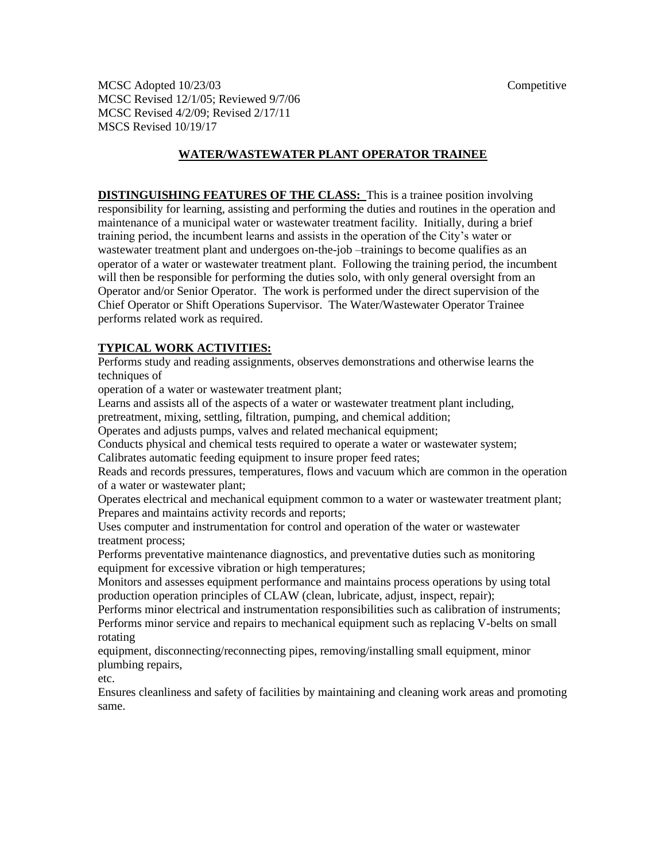MCSC Adopted 10/23/03 Competitive MCSC Revised 12/1/05; Reviewed 9/7/06 MCSC Revised 4/2/09; Revised 2/17/11 MSCS Revised 10/19/17

### **WATER/WASTEWATER PLANT OPERATOR TRAINEE**

**DISTINGUISHING FEATURES OF THE CLASS:** This is a trainee position involving responsibility for learning, assisting and performing the duties and routines in the operation and maintenance of a municipal water or wastewater treatment facility. Initially, during a brief training period, the incumbent learns and assists in the operation of the City's water or wastewater treatment plant and undergoes on-the-job –trainings to become qualifies as an operator of a water or wastewater treatment plant. Following the training period, the incumbent will then be responsible for performing the duties solo, with only general oversight from an Operator and/or Senior Operator. The work is performed under the direct supervision of the Chief Operator or Shift Operations Supervisor. The Water/Wastewater Operator Trainee performs related work as required.

### **TYPICAL WORK ACTIVITIES:**

Performs study and reading assignments, observes demonstrations and otherwise learns the techniques of

operation of a water or wastewater treatment plant;

Learns and assists all of the aspects of a water or wastewater treatment plant including,

pretreatment, mixing, settling, filtration, pumping, and chemical addition;

Operates and adjusts pumps, valves and related mechanical equipment;

Conducts physical and chemical tests required to operate a water or wastewater system;

Calibrates automatic feeding equipment to insure proper feed rates;

Reads and records pressures, temperatures, flows and vacuum which are common in the operation of a water or wastewater plant;

Operates electrical and mechanical equipment common to a water or wastewater treatment plant; Prepares and maintains activity records and reports;

Uses computer and instrumentation for control and operation of the water or wastewater treatment process;

Performs preventative maintenance diagnostics, and preventative duties such as monitoring equipment for excessive vibration or high temperatures;

Monitors and assesses equipment performance and maintains process operations by using total production operation principles of CLAW (clean, lubricate, adjust, inspect, repair);

Performs minor electrical and instrumentation responsibilities such as calibration of instruments; Performs minor service and repairs to mechanical equipment such as replacing V-belts on small rotating

equipment, disconnecting/reconnecting pipes, removing/installing small equipment, minor plumbing repairs,

etc.

Ensures cleanliness and safety of facilities by maintaining and cleaning work areas and promoting same.